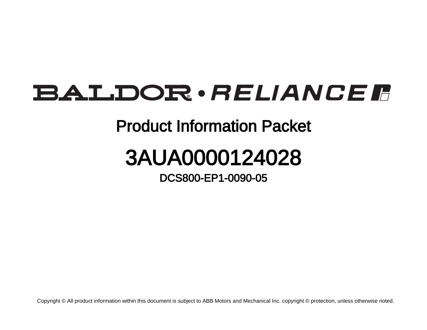## BALDOR · RELIANCE F

## Product Information Packet

## 3AUA0000124028

DCS800-EP1-0090-05

Copyright © All product information within this document is subject to ABB Motors and Mechanical Inc. copyright © protection, unless otherwise noted.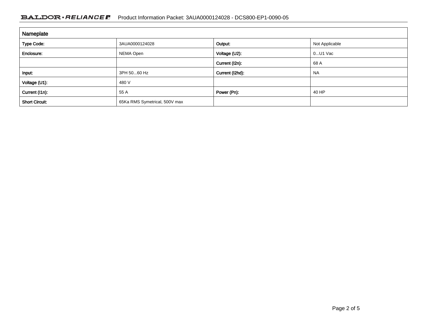## BALDOR · RELIANCE F Product Information Packet: 3AUA0000124028 - DCS800-EP1-0090-05

| Nameplate             |                               |                 |                |  |
|-----------------------|-------------------------------|-----------------|----------------|--|
| <b>Type Code:</b>     | 3AUA0000124028                | Output:         | Not Applicable |  |
| Enclosure:            | NEMA Open                     | Voltage (U2):   | $0$ U1 Vac     |  |
|                       |                               | Current (I2n):  | 68 A           |  |
| Input:                | 3PH 5060 Hz                   | Current (I2hd): | <b>NA</b>      |  |
| Voltage (U1):         | 480 V                         |                 |                |  |
| Current (I1n):        | 55 A                          | Power (Pn):     | 40 HP          |  |
| <b>Short Circuit:</b> | 65Ka RMS Symetrical, 500V max |                 |                |  |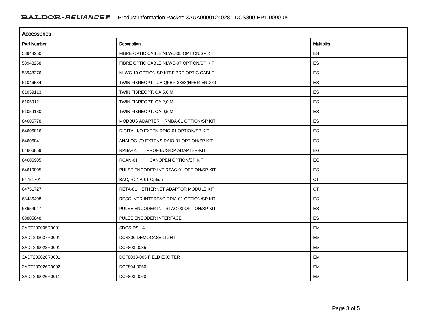| <b>Accessories</b> |                                         |                   |  |  |
|--------------------|-----------------------------------------|-------------------|--|--|
| <b>Part Number</b> | Description                             | <b>Multiplier</b> |  |  |
| 58948250           | FIBRE OPTIC CABLE NLWC-05 OPTION/SP KIT | ES                |  |  |
| 58948268           | FIBRE OPTIC CABLE NLWC-07 OPTION/SP KIT | <b>ES</b>         |  |  |
| 58948276           | NLWC-10 OPTION.SP KIT FIBRE OPTIC CABLE | ES                |  |  |
| 61046534           | TWIN FIBREOPT CA QFBR-3883(HFBR-END010  | <b>ES</b>         |  |  |
| 61059113           | TWIN FIBREOPT. CA 5,0 M                 | ES                |  |  |
| 61059121           | TWIN FIBREOPT. CA 2,0 M                 | ES                |  |  |
| 61059130           | TWIN FIBREOPT. CA 0,5 M                 | ES                |  |  |
| 64606778           | MODBUS ADAPTER RMBA-01 OPTION/SP KIT    | ES                |  |  |
| 64606816           | DIGITAL I/O EXTEN RDIO-01 OPTION/SP KIT | ES                |  |  |
| 64606841           | ANALOG I/O EXTENS RAIO-01 OPTION/SP KIT | ES                |  |  |
| 64606859           | RPBA-01<br>PROFIBUS-DP ADAPTER-KIT      | EG                |  |  |
| 64606905           | RCAN-01<br><b>CANOPEN OPTION/SP KIT</b> | EG                |  |  |
| 64610805           | PULSE ENCODER INT RTAC-01 OPTION/SP KIT | <b>ES</b>         |  |  |
| 64751701           | BAC, RCNA-01 Option                     | <b>CT</b>         |  |  |
| 64751727           | RETA-01 ETHERNET ADAPTOR MODULE KIT     | <b>CT</b>         |  |  |
| 68486408           | RESOLVER INTERFAC RRIA-01 OPTION/SP KIT | ES                |  |  |
| 68654947           | PULSE ENCODER INT RTAC-03 OPTION/SP KIT | <b>ES</b>         |  |  |
| 68805848           | PULSE ENCODER INTERFACE                 | ES                |  |  |
| 3ADT200005R0001    | SDCS-DSL-4                              | EM                |  |  |
| 3ADT203037R0001    | DCS800-DEMOCASE LIGHT                   | <b>EM</b>         |  |  |
| 3ADT209023R0001    | DCF803-0035                             | EM                |  |  |
| 3ADT209026R0001    | DCF803B-005 FIELD EXCITER               | <b>EM</b>         |  |  |
| 3ADT209026R0002    | DCF804-0050                             | <b>EM</b>         |  |  |
| 3ADT209026R0011    | DCF803-0060                             | EM                |  |  |